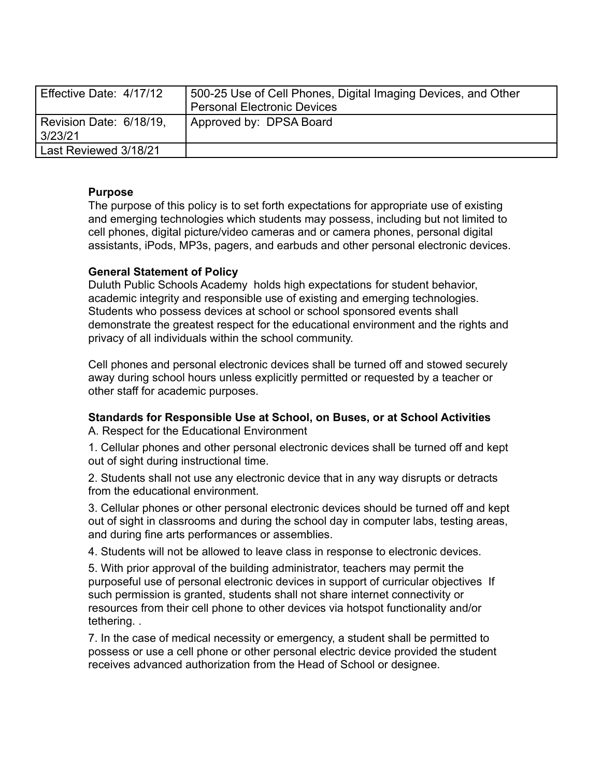| Effective Date: 4/17/12            | 500-25 Use of Cell Phones, Digital Imaging Devices, and Other<br><b>Personal Electronic Devices</b> |
|------------------------------------|-----------------------------------------------------------------------------------------------------|
| Revision Date: 6/18/19,<br>3/23/21 | Approved by: DPSA Board                                                                             |
| Last Reviewed 3/18/21              |                                                                                                     |

# **Purpose**

The purpose of this policy is to set forth expectations for appropriate use of existing and emerging technologies which students may possess, including but not limited to cell phones, digital picture/video cameras and or camera phones, personal digital assistants, iPods, MP3s, pagers, and earbuds and other personal electronic devices.

# **General Statement of Policy**

Duluth Public Schools Academy holds high expectations for student behavior, academic integrity and responsible use of existing and emerging technologies. Students who possess devices at school or school sponsored events shall demonstrate the greatest respect for the educational environment and the rights and privacy of all individuals within the school community.

Cell phones and personal electronic devices shall be turned off and stowed securely away during school hours unless explicitly permitted or requested by a teacher or other staff for academic purposes.

### **Standards for Responsible Use at School, on Buses, or at School Activities** A. Respect for the Educational Environment

1. Cellular phones and other personal electronic devices shall be turned off and kept out of sight during instructional time.

2. Students shall not use any electronic device that in any way disrupts or detracts from the educational environment.

3. Cellular phones or other personal electronic devices should be turned off and kept out of sight in classrooms and during the school day in computer labs, testing areas, and during fine arts performances or assemblies.

4. Students will not be allowed to leave class in response to electronic devices.

5. With prior approval of the building administrator, teachers may permit the purposeful use of personal electronic devices in support of curricular objectives If such permission is granted, students shall not share internet connectivity or resources from their cell phone to other devices via hotspot functionality and/or tethering. .

7. In the case of medical necessity or emergency, a student shall be permitted to possess or use a cell phone or other personal electric device provided the student receives advanced authorization from the Head of School or designee.